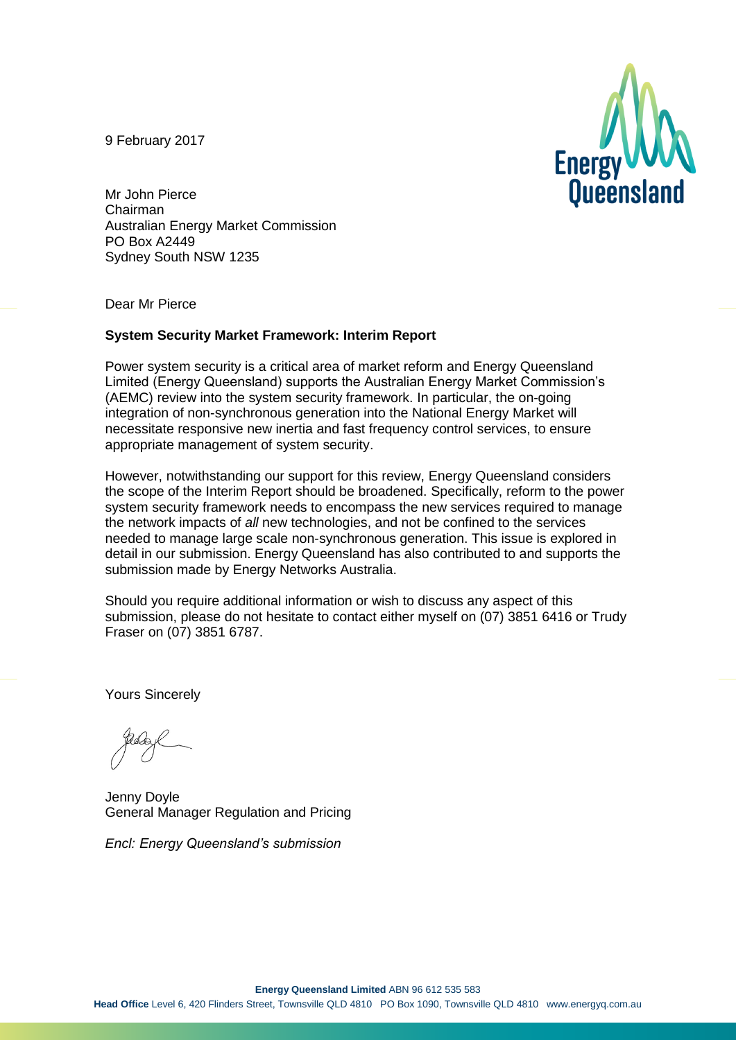9 February 2017



Mr John Pierce Chairman Australian Energy Market Commission PO Box A2449 Sydney South NSW 1235

Dear Mr Pierce

#### **System Security Market Framework: Interim Report**

Power system security is a critical area of market reform and Energy Queensland Limited (Energy Queensland) supports the Australian Energy Market Commission's (AEMC) review into the system security framework. In particular, the on-going integration of non-synchronous generation into the National Energy Market will necessitate responsive new inertia and fast frequency control services, to ensure appropriate management of system security.

However, notwithstanding our support for this review, Energy Queensland considers the scope of the Interim Report should be broadened. Specifically, reform to the power system security framework needs to encompass the new services required to manage the network impacts of *all* new technologies, and not be confined to the services needed to manage large scale non-synchronous generation. This issue is explored in detail in our submission. Energy Queensland has also contributed to and supports the submission made by Energy Networks Australia.

Should you require additional information or wish to discuss any aspect of this submission, please do not hesitate to contact either myself on (07) 3851 6416 or Trudy Fraser on (07) 3851 6787.

Yours Sincerely

Jenny Doyle General Manager Regulation and Pricing

*Encl: Energy Queensland's submission*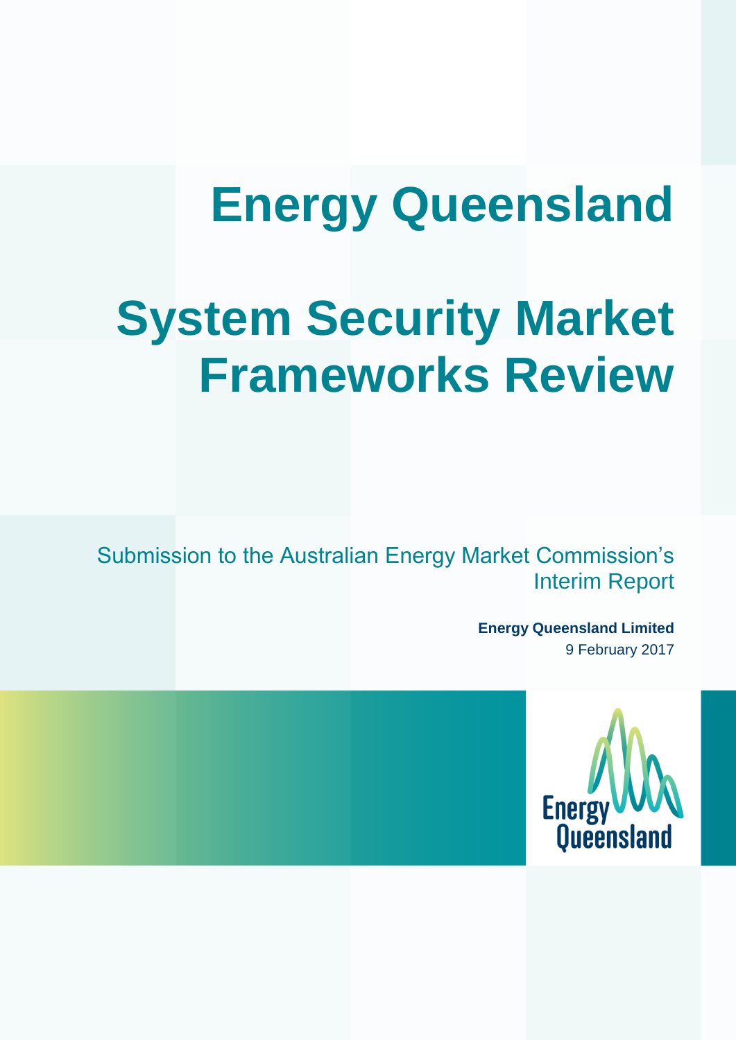# **Energy Queensland**

# **System Security Market Frameworks Review**

Submission to the Australian Energy Market Commission's Interim Report

> **Energy Queensland Limited** 9 February 2017

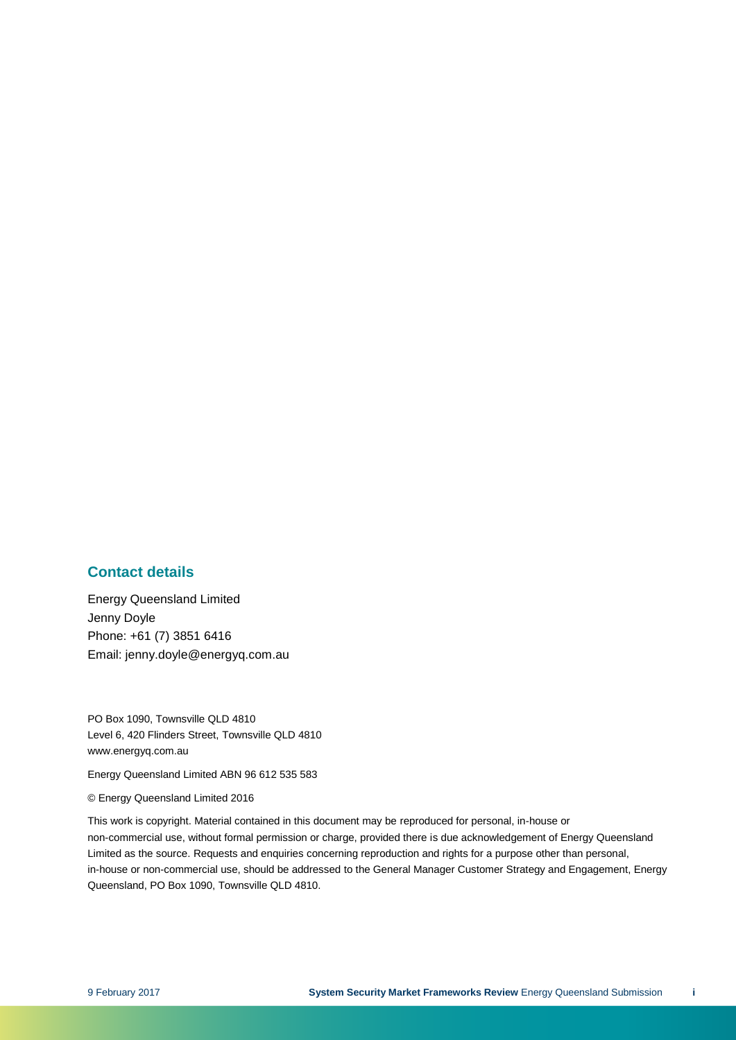#### **Contact details**

Energy Queensland Limited Jenny Doyle Phone: +61 (7) 3851 6416 Email: jenny.doyle@energyq.com.au

PO Box 1090, Townsville QLD 4810 Level 6, 420 Flinders Street, Townsville QLD 4810 www.energyq.com.au

Energy Queensland Limited ABN 96 612 535 583

© Energy Queensland Limited 2016

This work is copyright. Material contained in this document may be reproduced for personal, in-house or non-commercial use, without formal permission or charge, provided there is due acknowledgement of Energy Queensland Limited as the source. Requests and enquiries concerning reproduction and rights for a purpose other than personal, in-house or non-commercial use, should be addressed to the General Manager Customer Strategy and Engagement, Energy Queensland, PO Box 1090, Townsville QLD 4810.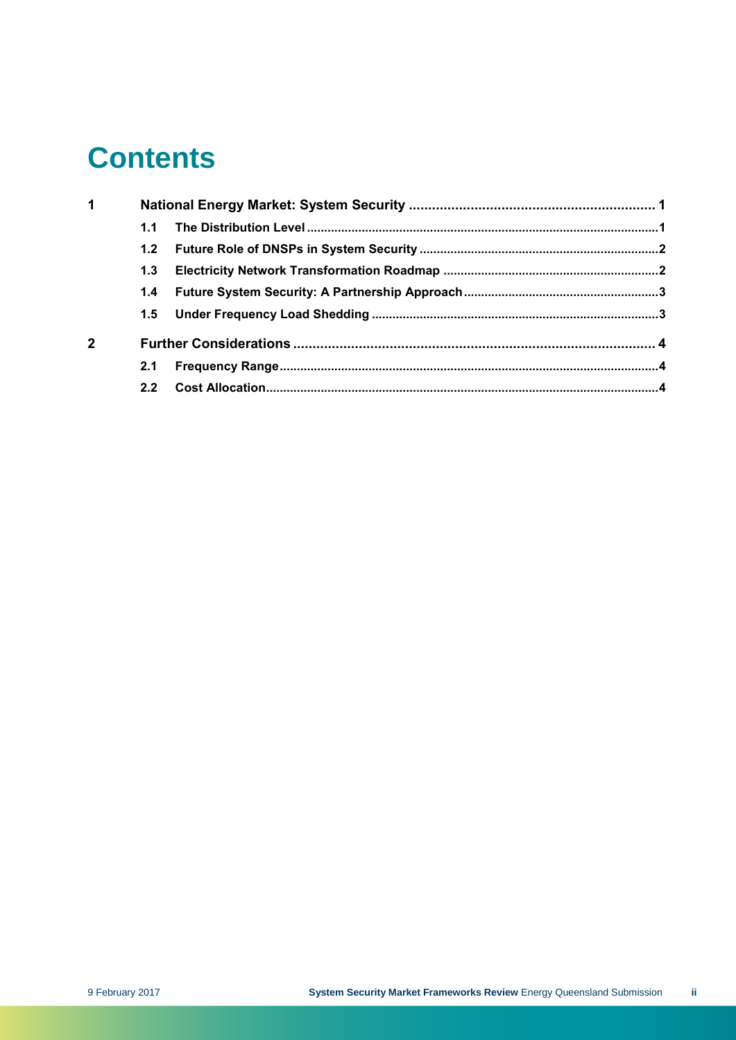## **Contents**

| 1              |     |  |  |
|----------------|-----|--|--|
|                | 1.1 |  |  |
|                |     |  |  |
|                |     |  |  |
|                |     |  |  |
|                |     |  |  |
| $\overline{2}$ |     |  |  |
|                | 2.1 |  |  |
|                | 2.2 |  |  |
|                |     |  |  |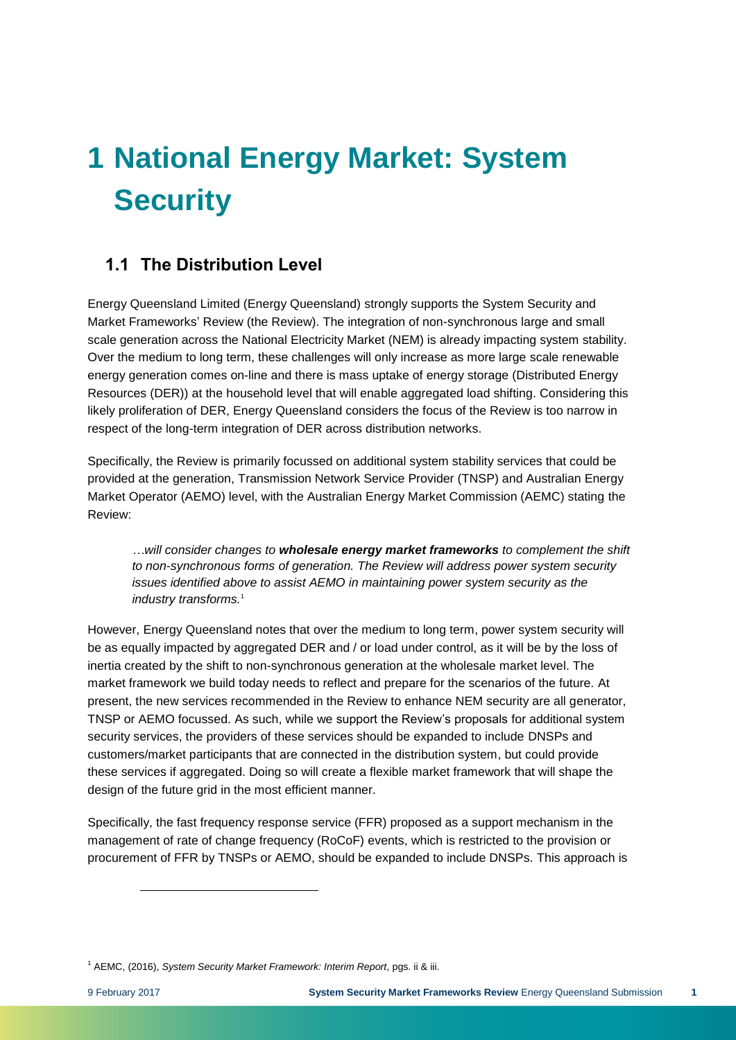## <span id="page-4-0"></span>**1 National Energy Market: System Security**

### <span id="page-4-1"></span>**1.1 The Distribution Level**

Energy Queensland Limited (Energy Queensland) strongly supports the System Security and Market Frameworks' Review (the Review). The integration of non-synchronous large and small scale generation across the National Electricity Market (NEM) is already impacting system stability. Over the medium to long term, these challenges will only increase as more large scale renewable energy generation comes on-line and there is mass uptake of energy storage (Distributed Energy Resources (DER)) at the household level that will enable aggregated load shifting. Considering this likely proliferation of DER, Energy Queensland considers the focus of the Review is too narrow in respect of the long-term integration of DER across distribution networks.

Specifically, the Review is primarily focussed on additional system stability services that could be provided at the generation, Transmission Network Service Provider (TNSP) and Australian Energy Market Operator (AEMO) level, with the Australian Energy Market Commission (AEMC) stating the Review:

*…will consider changes to wholesale energy market frameworks to complement the shift to non-synchronous forms of generation. The Review will address power system security issues identified above to assist AEMO in maintaining power system security as the industry transforms.* 1

However, Energy Queensland notes that over the medium to long term, power system security will be as equally impacted by aggregated DER and / or load under control, as it will be by the loss of inertia created by the shift to non-synchronous generation at the wholesale market level. The market framework we build today needs to reflect and prepare for the scenarios of the future. At present, the new services recommended in the Review to enhance NEM security are all generator, TNSP or AEMO focussed. As such, while we support the Review's proposals for additional system security services, the providers of these services should be expanded to include DNSPs and customers/market participants that are connected in the distribution system, but could provide these services if aggregated. Doing so will create a flexible market framework that will shape the design of the future grid in the most efficient manner.

Specifically, the fast frequency response service (FFR) proposed as a support mechanism in the management of rate of change frequency (RoCoF) events, which is restricted to the provision or procurement of FFR by TNSPs or AEMO, should be expanded to include DNSPs. This approach is

l

<sup>1</sup> AEMC, (2016), *System Security Market Framework: Interim Report*, pgs. ii & iii.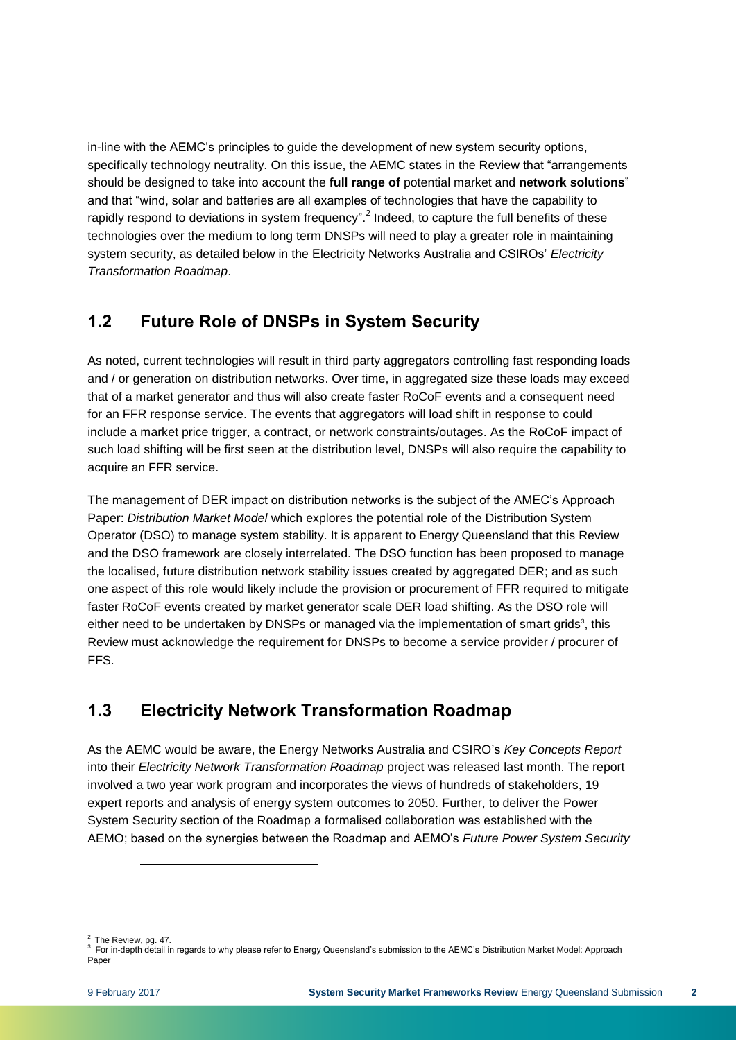in-line with the AEMC's principles to guide the development of new system security options, specifically technology neutrality. On this issue, the AEMC states in the Review that "arrangements should be designed to take into account the **full range of** potential market and **network solutions**" and that "wind, solar and batteries are all examples of technologies that have the capability to rapidly respond to deviations in system frequency".<sup>2</sup> Indeed, to capture the full benefits of these technologies over the medium to long term DNSPs will need to play a greater role in maintaining system security, as detailed below in the Electricity Networks Australia and CSIROs' *Electricity Transformation Roadmap*.

#### <span id="page-5-0"></span>**1.2 Future Role of DNSPs in System Security**

As noted, current technologies will result in third party aggregators controlling fast responding loads and / or generation on distribution networks. Over time, in aggregated size these loads may exceed that of a market generator and thus will also create faster RoCoF events and a consequent need for an FFR response service. The events that aggregators will load shift in response to could include a market price trigger, a contract, or network constraints/outages. As the RoCoF impact of such load shifting will be first seen at the distribution level, DNSPs will also require the capability to acquire an FFR service.

The management of DER impact on distribution networks is the subject of the AMEC's Approach Paper: *Distribution Market Model* which explores the potential role of the Distribution System Operator (DSO) to manage system stability. It is apparent to Energy Queensland that this Review and the DSO framework are closely interrelated. The DSO function has been proposed to manage the localised, future distribution network stability issues created by aggregated DER; and as such one aspect of this role would likely include the provision or procurement of FFR required to mitigate faster RoCoF events created by market generator scale DER load shifting. As the DSO role will either need to be undertaken by DNSPs or managed via the implementation of smart grids<sup>3</sup>, this Review must acknowledge the requirement for DNSPs to become a service provider / procurer of FFS.

### <span id="page-5-1"></span>**1.3 Electricity Network Transformation Roadmap**

As the AEMC would be aware, the Energy Networks Australia and CSIRO's *Key Concepts Report*  into their *Electricity Network Transformation Roadmap* project was released last month. The report involved a two year work program and incorporates the views of hundreds of stakeholders, 19 expert reports and analysis of energy system outcomes to 2050. Further, to deliver the Power System Security section of the Roadmap a formalised collaboration was established with the AEMO; based on the synergies between the Roadmap and AEMO's *Future Power System Security*

 $2$  The Review, pg. 47.

l

 $3$  For in-depth detail in regards to why please refer to Energy Queensland's submission to the AEMC's Distribution Market Model: Approach Paper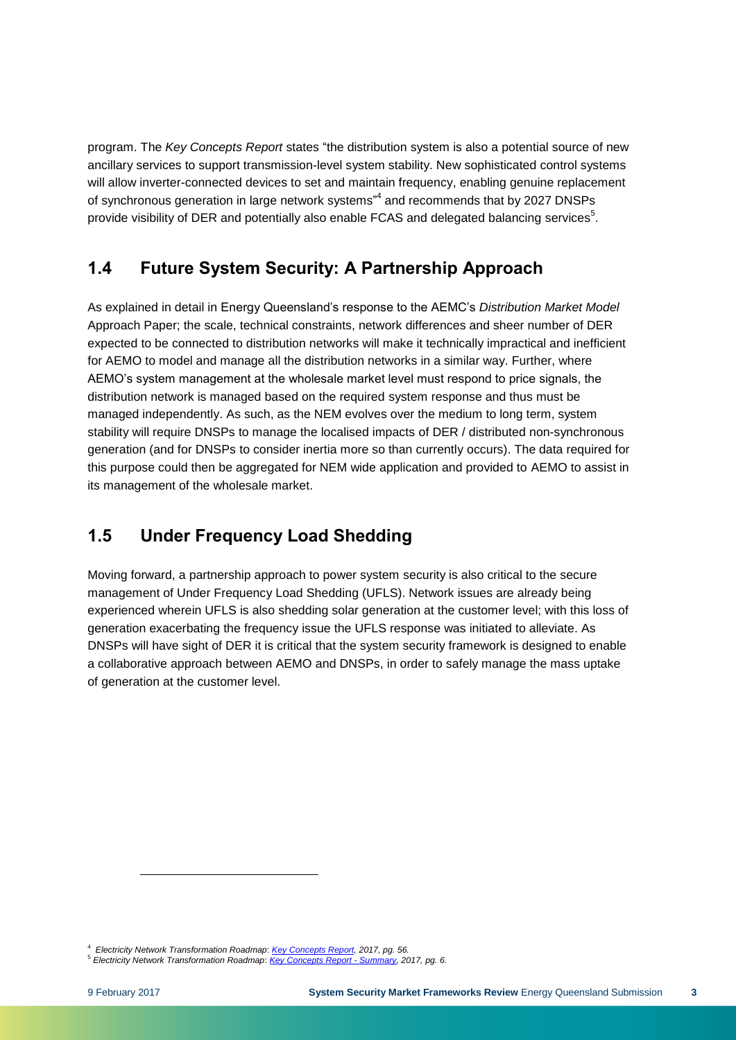program. The *Key Concepts Report* states "the distribution system is also a potential source of new ancillary services to support transmission-level system stability. New sophisticated control systems will allow inverter-connected devices to set and maintain frequency, enabling genuine replacement of synchronous generation in large network systems"<sup>4</sup> and recommends that by 2027 DNSPs provide visibility of DER and potentially also enable FCAS and delegated balancing services $^5$ .

#### <span id="page-6-0"></span>**1.4 Future System Security: A Partnership Approach**

As explained in detail in Energy Queensland's response to the AEMC's *Distribution Market Model* Approach Paper; the scale, technical constraints, network differences and sheer number of DER expected to be connected to distribution networks will make it technically impractical and inefficient for AEMO to model and manage all the distribution networks in a similar way. Further, where AEMO's system management at the wholesale market level must respond to price signals, the distribution network is managed based on the required system response and thus must be managed independently. As such, as the NEM evolves over the medium to long term, system stability will require DNSPs to manage the localised impacts of DER / distributed non-synchronous generation (and for DNSPs to consider inertia more so than currently occurs). The data required for this purpose could then be aggregated for NEM wide application and provided to AEMO to assist in its management of the wholesale market.

### <span id="page-6-1"></span>**1.5 Under Frequency Load Shedding**

Moving forward, a partnership approach to power system security is also critical to the secure management of Under Frequency Load Shedding (UFLS). Network issues are already being experienced wherein UFLS is also shedding solar generation at the customer level; with this loss of generation exacerbating the frequency issue the UFLS response was initiated to alleviate. As DNSPs will have sight of DER it is critical that the system security framework is designed to enable a collaborative approach between AEMO and DNSPs, in order to safely manage the mass uptake of generation at the customer level.

l

<sup>4</sup> *Electricity Network Transformation Roadmap*: *[Key Concepts Report,](http://www.energynetworks.com.au/sites/default/files/key_concepts_report_2016_final.pdf) 2017, pg. 56.*

<sup>5</sup> *Electricity Network Transformation Roadmap*: *[Key Concepts Report -](http://www.energynetworks.com.au/sites/default/files/summary_key_concepts_report_2016.pdf) Summary, 2017, pg. 6.*